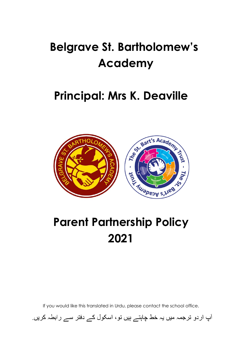# **Belgrave St. Bartholomew's Academy**

### **Principal: Mrs K. Deaville**



# **Parent Partnership Policy 2021**

If you would like this translated in Urdu, please contact the school office.

آپ اردو ترجمہ میں یہ خط چاہتے ہیں تو ، اسکول کے دفتر سے رابطہ کریں۔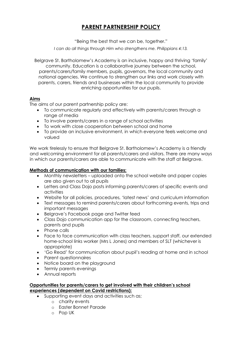### **PARENT PARTNERSHIP POLICY**

"Being the best that we can be, together."

*I can do all things through Him who strengthens me. Philippians 4:13.* 

Belgrave St. Bartholomew's Academy is an inclusive, happy and thriving 'family' community. Education is a collaborative journey between the school, parents/carers/family members, pupils, governors, the local community and national agencies. We continue to strengthen our links and work closely with parents, carers, friends and businesses within the local community to provide enriching opportunities for our pupils.

#### **Aims**

The aims of our parent partnership policy are:

- To communicate regularly and effectively with parents/carers through a range of media
- To involve parents/carers in a range of school activities
- To work with close cooperation between school and home
- To provide an inclusive environment, in which everyone feels welcome and valued

We work tirelessly to ensure that Belgrave St. Bartholomew's Academy is a friendly and welcoming environment for all parents/carers and visitors. There are many ways in which our parents/carers are able to communicate with the staff at Belgrave.

#### **Methods of communication with our families:**

- Monthly newsletters uploaded onto the school website and paper copies are also given out to all pupils
- Letters and Class Dojo posts informing parents/carers of specific events and activities
- Website for all policies, procedures, 'latest news' and curriculum information
- Text messages to remind parents/carers about forthcoming events, trips and important messages
- Belgrave's Facebook page and Twitter feed
- Class Dojo communication app for the classroom, connecting teachers, parents and pupils
- Phone calls
- Face to face communication with class teachers, support staff, our extended home-school links worker (Mrs L Jones) and members of SLT (whichever is appropriate)
- 'Go Read' for communication about pupil's reading at home and in school
- Parent questionnaires
- Notice board on the playground
- Termly parents evenings
- Annual reports

#### **Opportunities for parents/carers to get involved with their children's school experiences (dependent on Covid restrictions):**

- Supporting event days and activities such as;
	- o charity events
	- o Easter Bonnet Parade
	- o Pop UK